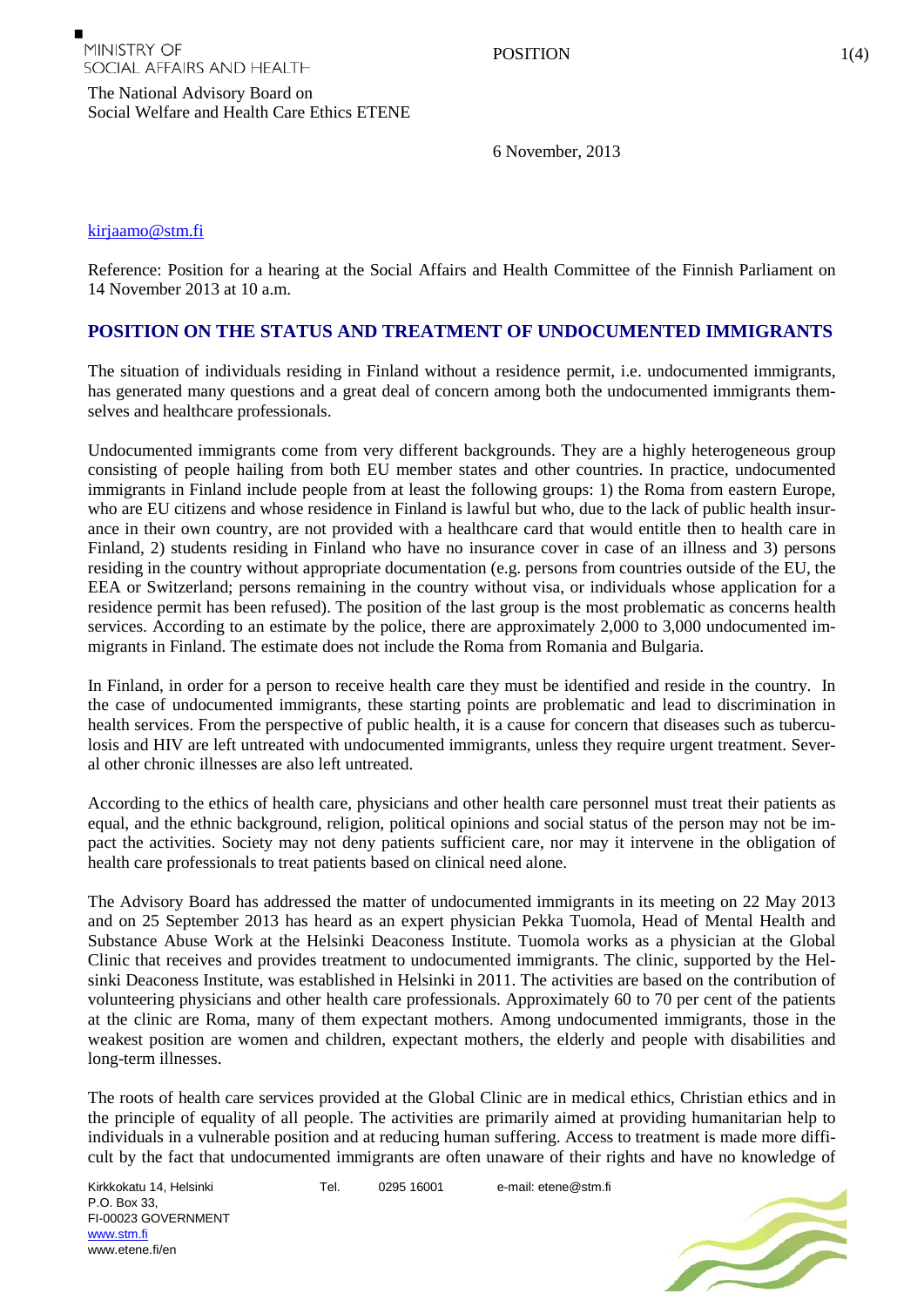The National Advisory Board on

Social Welfare and Health Care Ethics ETENE

6 November, 2013

## [kirjaamo@stm.fi](mailto:kirjaamo@stm.fi)

Reference: Position for a hearing at the Social Affairs and Health Committee of the Finnish Parliament on 14 November 2013 at 10 a.m.

## **POSITION ON THE STATUS AND TREATMENT OF UNDOCUMENTED IMMIGRANTS**

The situation of individuals residing in Finland without a residence permit, i.e. undocumented immigrants, has generated many questions and a great deal of concern among both the undocumented immigrants themselves and healthcare professionals.

Undocumented immigrants come from very different backgrounds. They are a highly heterogeneous group consisting of people hailing from both EU member states and other countries. In practice, undocumented immigrants in Finland include people from at least the following groups: 1) the Roma from eastern Europe, who are EU citizens and whose residence in Finland is lawful but who, due to the lack of public health insurance in their own country, are not provided with a healthcare card that would entitle then to health care in Finland, 2) students residing in Finland who have no insurance cover in case of an illness and 3) persons residing in the country without appropriate documentation (e.g. persons from countries outside of the EU, the EEA or Switzerland; persons remaining in the country without visa, or individuals whose application for a residence permit has been refused). The position of the last group is the most problematic as concerns health services. According to an estimate by the police, there are approximately 2,000 to 3,000 undocumented immigrants in Finland. The estimate does not include the Roma from Romania and Bulgaria.

In Finland, in order for a person to receive health care they must be identified and reside in the country. In the case of undocumented immigrants, these starting points are problematic and lead to discrimination in health services. From the perspective of public health, it is a cause for concern that diseases such as tuberculosis and HIV are left untreated with undocumented immigrants, unless they require urgent treatment. Several other chronic illnesses are also left untreated.

According to the ethics of health care, physicians and other health care personnel must treat their patients as equal, and the ethnic background, religion, political opinions and social status of the person may not be impact the activities. Society may not deny patients sufficient care, nor may it intervene in the obligation of health care professionals to treat patients based on clinical need alone.

The Advisory Board has addressed the matter of undocumented immigrants in its meeting on 22 May 2013 and on 25 September 2013 has heard as an expert physician Pekka Tuomola, Head of Mental Health and Substance Abuse Work at the Helsinki Deaconess Institute. Tuomola works as a physician at the Global Clinic that receives and provides treatment to undocumented immigrants. The clinic, supported by the Helsinki Deaconess Institute, was established in Helsinki in 2011. The activities are based on the contribution of volunteering physicians and other health care professionals. Approximately 60 to 70 per cent of the patients at the clinic are Roma, many of them expectant mothers. Among undocumented immigrants, those in the weakest position are women and children, expectant mothers, the elderly and people with disabilities and long-term illnesses.

The roots of health care services provided at the Global Clinic are in medical ethics, Christian ethics and in the principle of equality of all people. The activities are primarily aimed at providing humanitarian help to individuals in a vulnerable position and at reducing human suffering. Access to treatment is made more difficult by the fact that undocumented immigrants are often unaware of their rights and have no knowledge of

Kirkkokatu 14, Helsinki P.O. Box 33, FI-00023 GOVERNMENT [www.stm.fi](http://www.stm.fi/) www.etene.fi/en

Tel. 0295 16001 e-mail: etene@stm.fi

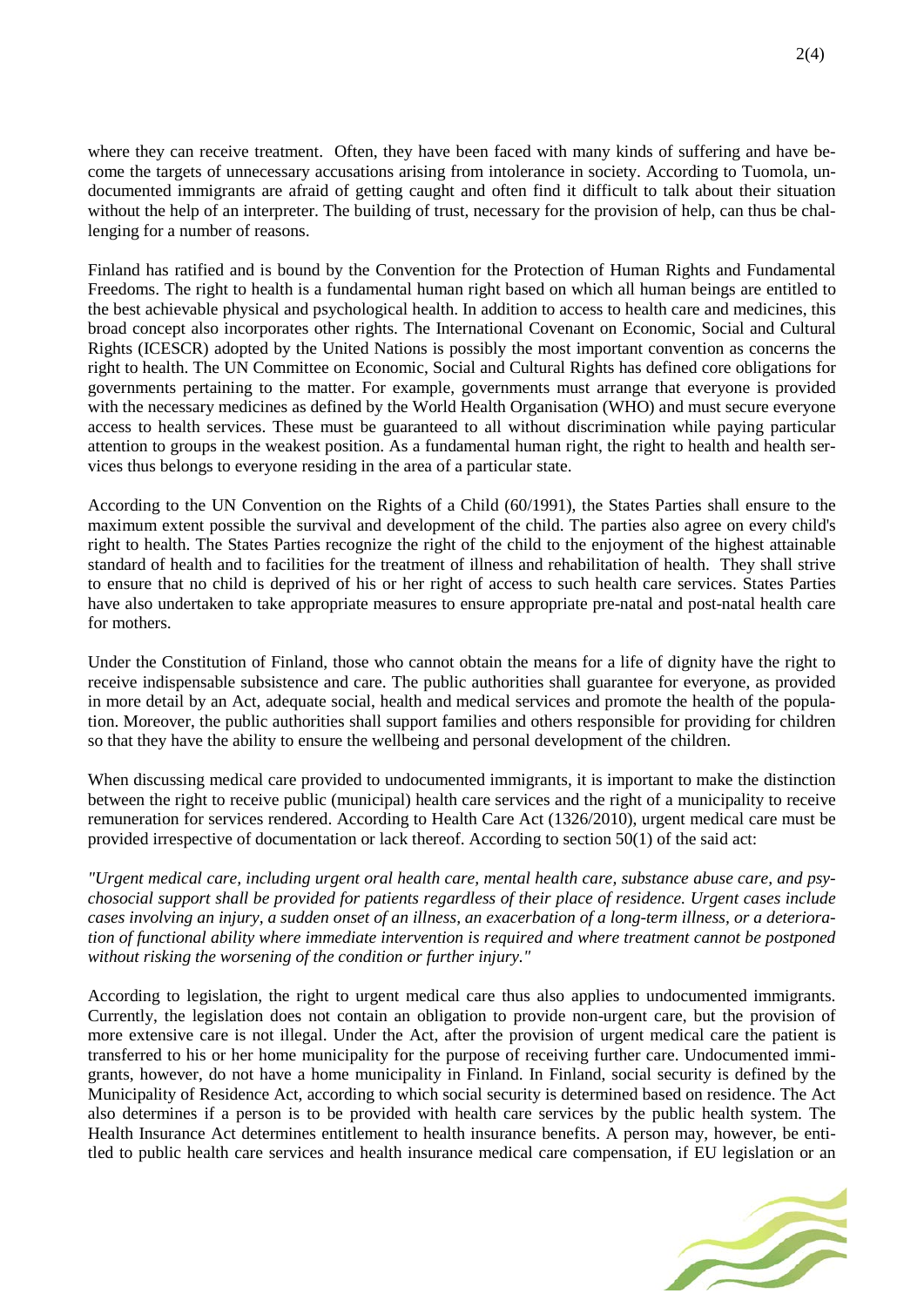where they can receive treatment. Often, they have been faced with many kinds of suffering and have become the targets of unnecessary accusations arising from intolerance in society. According to Tuomola, undocumented immigrants are afraid of getting caught and often find it difficult to talk about their situation without the help of an interpreter. The building of trust, necessary for the provision of help, can thus be challenging for a number of reasons.

Finland has ratified and is bound by the Convention for the Protection of Human Rights and Fundamental Freedoms. The right to health is a fundamental human right based on which all human beings are entitled to the best achievable physical and psychological health. In addition to access to health care and medicines, this broad concept also incorporates other rights. The International Covenant on Economic, Social and Cultural Rights (ICESCR) adopted by the United Nations is possibly the most important convention as concerns the right to health. The UN Committee on Economic, Social and Cultural Rights has defined core obligations for governments pertaining to the matter. For example, governments must arrange that everyone is provided with the necessary medicines as defined by the World Health Organisation (WHO) and must secure everyone access to health services. These must be guaranteed to all without discrimination while paying particular attention to groups in the weakest position. As a fundamental human right, the right to health and health services thus belongs to everyone residing in the area of a particular state.

According to the UN Convention on the Rights of a Child (60/1991), the States Parties shall ensure to the maximum extent possible the survival and development of the child. The parties also agree on every child's right to health. The States Parties recognize the right of the child to the enjoyment of the highest attainable standard of health and to facilities for the treatment of illness and rehabilitation of health. They shall strive to ensure that no child is deprived of his or her right of access to such health care services. States Parties have also undertaken to take appropriate measures to ensure appropriate pre-natal and post-natal health care for mothers.

Under the Constitution of Finland, those who cannot obtain the means for a life of dignity have the right to receive indispensable subsistence and care. The public authorities shall guarantee for everyone, as provided in more detail by an Act, adequate social, health and medical services and promote the health of the population. Moreover, the public authorities shall support families and others responsible for providing for children so that they have the ability to ensure the wellbeing and personal development of the children.

When discussing medical care provided to undocumented immigrants, it is important to make the distinction between the right to receive public (municipal) health care services and the right of a municipality to receive remuneration for services rendered. According to Health Care Act (1326/2010), urgent medical care must be provided irrespective of documentation or lack thereof. According to section 50(1) of the said act:

*"Urgent medical care, including urgent oral health care, mental health care, substance abuse care, and psychosocial support shall be provided for patients regardless of their place of residence. Urgent cases include cases involving an injury, a sudden onset of an illness, an exacerbation of a long-term illness, or a deterioration of functional ability where immediate intervention is required and where treatment cannot be postponed without risking the worsening of the condition or further injury."*

According to legislation, the right to urgent medical care thus also applies to undocumented immigrants. Currently, the legislation does not contain an obligation to provide non-urgent care, but the provision of more extensive care is not illegal. Under the Act, after the provision of urgent medical care the patient is transferred to his or her home municipality for the purpose of receiving further care. Undocumented immigrants, however, do not have a home municipality in Finland. In Finland, social security is defined by the Municipality of Residence Act, according to which social security is determined based on residence. The Act also determines if a person is to be provided with health care services by the public health system. The Health Insurance Act determines entitlement to health insurance benefits. A person may, however, be entitled to public health care services and health insurance medical care compensation, if EU legislation or an

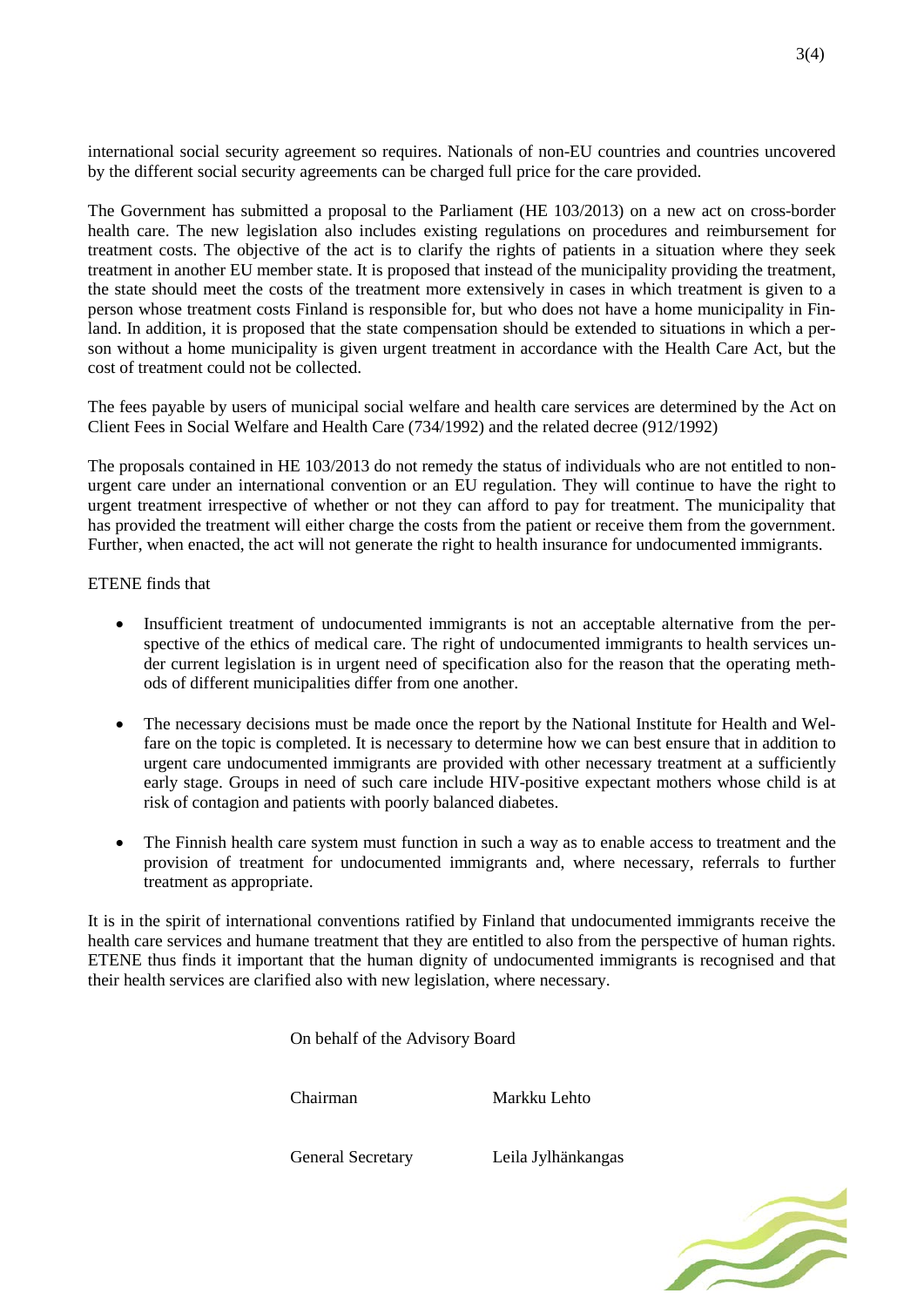international social security agreement so requires. Nationals of non-EU countries and countries uncovered by the different social security agreements can be charged full price for the care provided.

The Government has submitted a proposal to the Parliament (HE 103/2013) on a new act on cross-border health care. The new legislation also includes existing regulations on procedures and reimbursement for treatment costs. The objective of the act is to clarify the rights of patients in a situation where they seek treatment in another EU member state. It is proposed that instead of the municipality providing the treatment, the state should meet the costs of the treatment more extensively in cases in which treatment is given to a person whose treatment costs Finland is responsible for, but who does not have a home municipality in Finland. In addition, it is proposed that the state compensation should be extended to situations in which a person without a home municipality is given urgent treatment in accordance with the Health Care Act, but the cost of treatment could not be collected.

The fees payable by users of municipal social welfare and health care services are determined by the Act on Client Fees in Social Welfare and Health Care (734/1992) and the related decree (912/1992)

The proposals contained in HE 103/2013 do not remedy the status of individuals who are not entitled to nonurgent care under an international convention or an EU regulation. They will continue to have the right to urgent treatment irrespective of whether or not they can afford to pay for treatment. The municipality that has provided the treatment will either charge the costs from the patient or receive them from the government. Further, when enacted, the act will not generate the right to health insurance for undocumented immigrants.

## ETENE finds that

- Insufficient treatment of undocumented immigrants is not an acceptable alternative from the perspective of the ethics of medical care. The right of undocumented immigrants to health services under current legislation is in urgent need of specification also for the reason that the operating methods of different municipalities differ from one another.
- The necessary decisions must be made once the report by the National Institute for Health and Welfare on the topic is completed. It is necessary to determine how we can best ensure that in addition to urgent care undocumented immigrants are provided with other necessary treatment at a sufficiently early stage. Groups in need of such care include HIV-positive expectant mothers whose child is at risk of contagion and patients with poorly balanced diabetes.
- The Finnish health care system must function in such a way as to enable access to treatment and the provision of treatment for undocumented immigrants and, where necessary, referrals to further treatment as appropriate.

It is in the spirit of international conventions ratified by Finland that undocumented immigrants receive the health care services and humane treatment that they are entitled to also from the perspective of human rights. ETENE thus finds it important that the human dignity of undocumented immigrants is recognised and that their health services are clarified also with new legislation, where necessary.

On behalf of the Advisory Board

Chairman Markku Lehto

General Secretary Leila Jylhänkangas